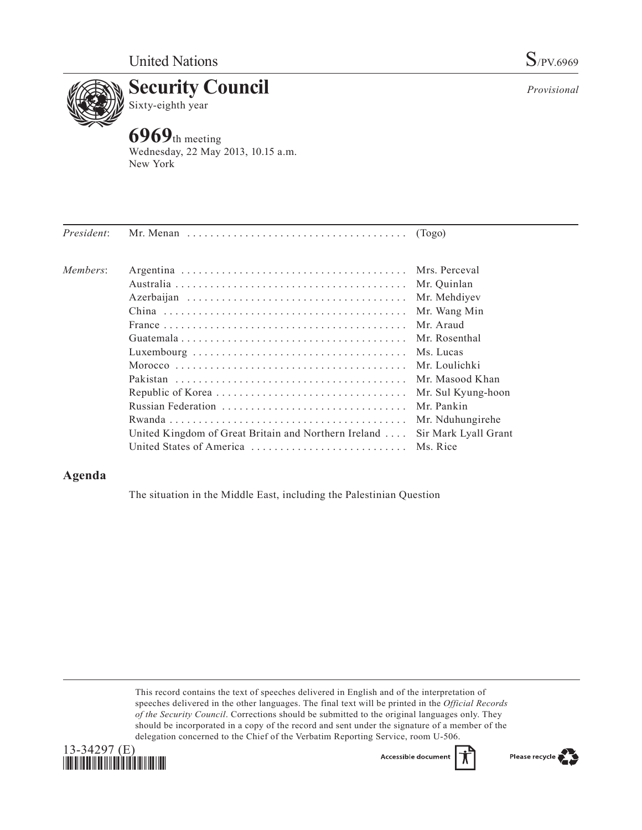

*Provisional*



**6969**th meeting Wednesday, 22 May 2013, 10.15 a.m. New York

| President: | Mr. Menan $\dots \dots \dots \dots \dots \dots \dots \dots \dots \dots \dots$ (Togo) |                      |
|------------|--------------------------------------------------------------------------------------|----------------------|
| Members:   |                                                                                      | Mrs. Perceval        |
|            |                                                                                      | Mr. Quinlan          |
|            |                                                                                      | Mr. Mehdiyev         |
|            |                                                                                      | Mr. Wang Min         |
|            |                                                                                      | Mr. Araud            |
|            |                                                                                      | Mr. Rosenthal        |
|            |                                                                                      | Ms. Lucas            |
|            |                                                                                      | Mr. Loulichki        |
|            |                                                                                      | Mr. Masood Khan      |
|            |                                                                                      | Mr. Sul Kyung-hoon   |
|            |                                                                                      | Mr. Pankin           |
|            |                                                                                      | Mr. Nduhungirehe     |
|            | United Kingdom of Great Britain and Northern Ireland                                 | Sir Mark Lyall Grant |
|            | United States of America                                                             | Ms. Rice             |

## **Agenda**

The situation in the Middle East, including the Palestinian Question

This record contains the text of speeches delivered in English and of the interpretation of speeches delivered in the other languages. The final text will be printed in the *Official Records of the Security Council*. Corrections should be submitted to the original languages only. They should be incorporated in a copy of the record and sent under the signature of a member of the delegation concerned to the Chief of the Verbatim Reporting Service, room U-506.



Accessible documen

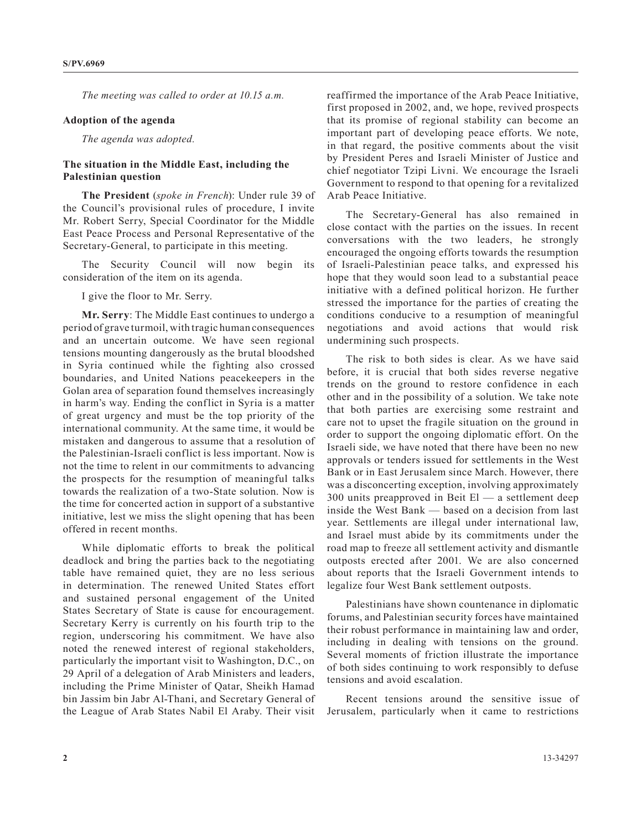*The meeting was called to order at 10.15 a.m.*

## **Adoption of the agenda**

*The agenda was adopted.*

## **The situation in the Middle East, including the Palestinian question**

**The President** (*spoke in French*): Under rule 39 of the Council's provisional rules of procedure, I invite Mr. Robert Serry, Special Coordinator for the Middle East Peace Process and Personal Representative of the Secretary-General, to participate in this meeting.

The Security Council will now begin its consideration of the item on its agenda.

I give the floor to Mr. Serry.

**Mr. Serry**: The Middle East continues to undergo a period of grave turmoil, with tragic human consequences and an uncertain outcome. We have seen regional tensions mounting dangerously as the brutal bloodshed in Syria continued while the fighting also crossed boundaries, and United Nations peacekeepers in the Golan area of separation found themselves increasingly in harm's way. Ending the conflict in Syria is a matter of great urgency and must be the top priority of the international community. At the same time, it would be mistaken and dangerous to assume that a resolution of the Palestinian-Israeli conflict is less important. Now is not the time to relent in our commitments to advancing the prospects for the resumption of meaningful talks towards the realization of a two-State solution. Now is the time for concerted action in support of a substantive initiative, lest we miss the slight opening that has been offered in recent months.

While diplomatic efforts to break the political deadlock and bring the parties back to the negotiating table have remained quiet, they are no less serious in determination. The renewed United States effort and sustained personal engagement of the United States Secretary of State is cause for encouragement. Secretary Kerry is currently on his fourth trip to the region, underscoring his commitment. We have also noted the renewed interest of regional stakeholders, particularly the important visit to Washington, D.C., on 29 April of a delegation of Arab Ministers and leaders, including the Prime Minister of Qatar, Sheikh Hamad bin Jassim bin Jabr Al-Thani, and Secretary General of the League of Arab States Nabil El Araby. Their visit reaffirmed the importance of the Arab Peace Initiative, first proposed in 2002, and, we hope, revived prospects that its promise of regional stability can become an important part of developing peace efforts. We note, in that regard, the positive comments about the visit by President Peres and Israeli Minister of Justice and chief negotiator Tzipi Livni. We encourage the Israeli Government to respond to that opening for a revitalized Arab Peace Initiative.

The Secretary-General has also remained in close contact with the parties on the issues. In recent conversations with the two leaders, he strongly encouraged the ongoing efforts towards the resumption of Israeli-Palestinian peace talks, and expressed his hope that they would soon lead to a substantial peace initiative with a defined political horizon. He further stressed the importance for the parties of creating the conditions conducive to a resumption of meaningful negotiations and avoid actions that would risk undermining such prospects.

The risk to both sides is clear. As we have said before, it is crucial that both sides reverse negative trends on the ground to restore confidence in each other and in the possibility of a solution. We take note that both parties are exercising some restraint and care not to upset the fragile situation on the ground in order to support the ongoing diplomatic effort. On the Israeli side, we have noted that there have been no new approvals or tenders issued for settlements in the West Bank or in East Jerusalem since March. However, there was a disconcerting exception, involving approximately 300 units preapproved in Beit El — a settlement deep inside the West Bank — based on a decision from last year. Settlements are illegal under international law, and Israel must abide by its commitments under the road map to freeze all settlement activity and dismantle outposts erected after 2001. We are also concerned about reports that the Israeli Government intends to legalize four West Bank settlement outposts.

Palestinians have shown countenance in diplomatic forums, and Palestinian security forces have maintained their robust performance in maintaining law and order, including in dealing with tensions on the ground. Several moments of friction illustrate the importance of both sides continuing to work responsibly to defuse tensions and avoid escalation.

Recent tensions around the sensitive issue of Jerusalem, particularly when it came to restrictions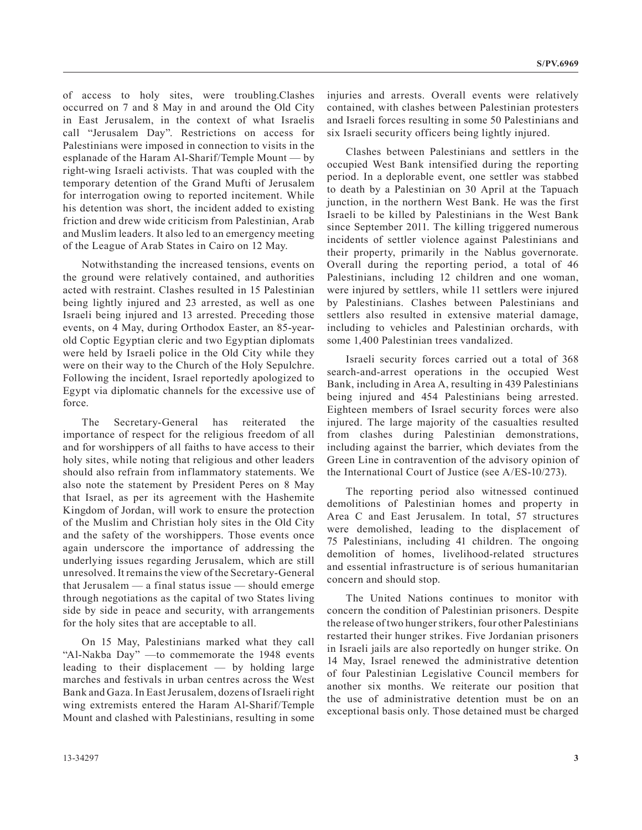of access to holy sites, were troubling.Clashes occurred on 7 and 8 May in and around the Old City in East Jerusalem, in the context of what Israelis call "Jerusalem Day". Restrictions on access for Palestinians were imposed in connection to visits in the esplanade of the Haram Al-Sharif/Temple Mount — by right-wing Israeli activists. That was coupled with the temporary detention of the Grand Mufti of Jerusalem for interrogation owing to reported incitement. While his detention was short, the incident added to existing friction and drew wide criticism from Palestinian, Arab and Muslim leaders. It also led to an emergency meeting of the League of Arab States in Cairo on 12 May.

Notwithstanding the increased tensions, events on the ground were relatively contained, and authorities acted with restraint. Clashes resulted in 15 Palestinian being lightly injured and 23 arrested, as well as one Israeli being injured and 13 arrested. Preceding those events, on 4 May, during Orthodox Easter, an 85-yearold Coptic Egyptian cleric and two Egyptian diplomats were held by Israeli police in the Old City while they were on their way to the Church of the Holy Sepulchre. Following the incident, Israel reportedly apologized to Egypt via diplomatic channels for the excessive use of force.

The Secretary-General has reiterated the importance of respect for the religious freedom of all and for worshippers of all faiths to have access to their holy sites, while noting that religious and other leaders should also refrain from inflammatory statements. We also note the statement by President Peres on 8 May that Israel, as per its agreement with the Hashemite Kingdom of Jordan, will work to ensure the protection of the Muslim and Christian holy sites in the Old City and the safety of the worshippers. Those events once again underscore the importance of addressing the underlying issues regarding Jerusalem, which are still unresolved. It remains the view of the Secretary-General that Jerusalem — a final status issue — should emerge through negotiations as the capital of two States living side by side in peace and security, with arrangements for the holy sites that are acceptable to all.

On 15 May, Palestinians marked what they call "Al-Nakba Day" —to commemorate the 1948 events leading to their displacement — by holding large marches and festivals in urban centres across the West Bank and Gaza. In East Jerusalem, dozens of Israeli right wing extremists entered the Haram Al-Sharif/Temple Mount and clashed with Palestinians, resulting in some

injuries and arrests. Overall events were relatively contained, with clashes between Palestinian protesters and Israeli forces resulting in some 50 Palestinians and six Israeli security officers being lightly injured.

Clashes between Palestinians and settlers in the occupied West Bank intensified during the reporting period. In a deplorable event, one settler was stabbed to death by a Palestinian on 30 April at the Tapuach junction, in the northern West Bank. He was the first Israeli to be killed by Palestinians in the West Bank since September 2011. The killing triggered numerous incidents of settler violence against Palestinians and their property, primarily in the Nablus governorate. Overall during the reporting period, a total of 46 Palestinians, including 12 children and one woman, were injured by settlers, while 11 settlers were injured by Palestinians. Clashes between Palestinians and settlers also resulted in extensive material damage, including to vehicles and Palestinian orchards, with some 1,400 Palestinian trees vandalized.

Israeli security forces carried out a total of 368 search-and-arrest operations in the occupied West Bank, including in Area A, resulting in 439 Palestinians being injured and 454 Palestinians being arrested. Eighteen members of Israel security forces were also injured. The large majority of the casualties resulted from clashes during Palestinian demonstrations, including against the barrier, which deviates from the Green Line in contravention of the advisory opinion of the International Court of Justice (see A/ES-10/273).

The reporting period also witnessed continued demolitions of Palestinian homes and property in Area C and East Jerusalem. In total, 57 structures were demolished, leading to the displacement of 75 Palestinians, including 41 children. The ongoing demolition of homes, livelihood-related structures and essential infrastructure is of serious humanitarian concern and should stop.

The United Nations continues to monitor with concern the condition of Palestinian prisoners. Despite the release of two hunger strikers, four other Palestinians restarted their hunger strikes. Five Jordanian prisoners in Israeli jails are also reportedly on hunger strike. On 14 May, Israel renewed the administrative detention of four Palestinian Legislative Council members for another six months. We reiterate our position that the use of administrative detention must be on an exceptional basis only. Those detained must be charged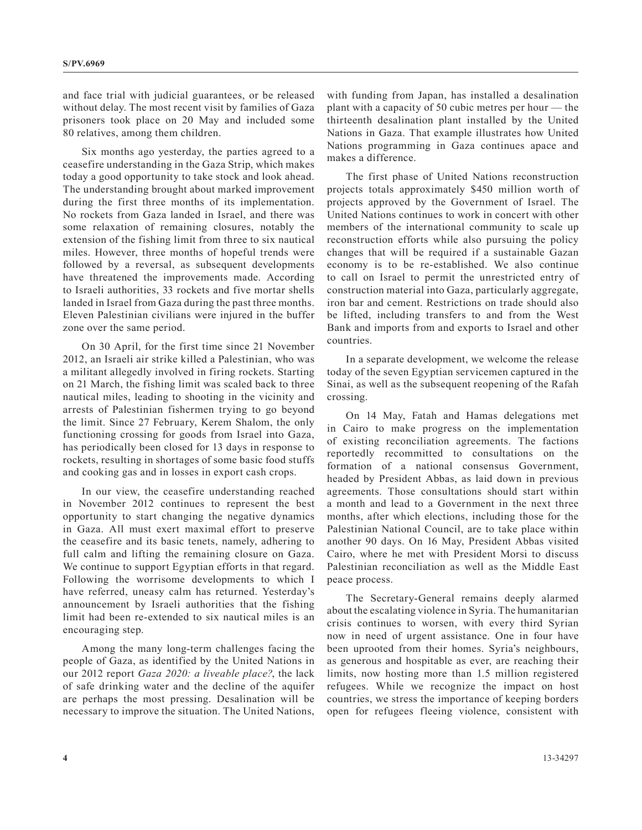and face trial with judicial guarantees, or be released without delay. The most recent visit by families of Gaza prisoners took place on 20 May and included some 80 relatives, among them children.

Six months ago yesterday, the parties agreed to a ceasefire understanding in the Gaza Strip, which makes today a good opportunity to take stock and look ahead. The understanding brought about marked improvement during the first three months of its implementation. No rockets from Gaza landed in Israel, and there was some relaxation of remaining closures, notably the extension of the fishing limit from three to six nautical miles. However, three months of hopeful trends were followed by a reversal, as subsequent developments have threatened the improvements made. According to Israeli authorities, 33 rockets and five mortar shells landed in Israel from Gaza during the past three months. Eleven Palestinian civilians were injured in the buffer zone over the same period.

On 30 April, for the first time since 21 November 2012, an Israeli air strike killed a Palestinian, who was a militant allegedly involved in firing rockets. Starting on 21 March, the fishing limit was scaled back to three nautical miles, leading to shooting in the vicinity and arrests of Palestinian fishermen trying to go beyond the limit. Since 27 February, Kerem Shalom, the only functioning crossing for goods from Israel into Gaza, has periodically been closed for 13 days in response to rockets, resulting in shortages of some basic food stuffs and cooking gas and in losses in export cash crops.

In our view, the ceasefire understanding reached in November 2012 continues to represent the best opportunity to start changing the negative dynamics in Gaza. All must exert maximal effort to preserve the ceasefire and its basic tenets, namely, adhering to full calm and lifting the remaining closure on Gaza. We continue to support Egyptian efforts in that regard. Following the worrisome developments to which I have referred, uneasy calm has returned. Yesterday's announcement by Israeli authorities that the fishing limit had been re-extended to six nautical miles is an encouraging step.

Among the many long-term challenges facing the people of Gaza, as identified by the United Nations in our 2012 report *Gaza 2020: a liveable place?*, the lack of safe drinking water and the decline of the aquifer are perhaps the most pressing. Desalination will be necessary to improve the situation. The United Nations, with funding from Japan, has installed a desalination plant with a capacity of 50 cubic metres per hour — the thirteenth desalination plant installed by the United Nations in Gaza. That example illustrates how United Nations programming in Gaza continues apace and makes a difference.

The first phase of United Nations reconstruction projects totals approximately \$450 million worth of projects approved by the Government of Israel. The United Nations continues to work in concert with other members of the international community to scale up reconstruction efforts while also pursuing the policy changes that will be required if a sustainable Gazan economy is to be re-established. We also continue to call on Israel to permit the unrestricted entry of construction material into Gaza, particularly aggregate, iron bar and cement. Restrictions on trade should also be lifted, including transfers to and from the West Bank and imports from and exports to Israel and other countries.

In a separate development, we welcome the release today of the seven Egyptian servicemen captured in the Sinai, as well as the subsequent reopening of the Rafah crossing.

On 14 May, Fatah and Hamas delegations met in Cairo to make progress on the implementation of existing reconciliation agreements. The factions reportedly recommitted to consultations on the formation of a national consensus Government, headed by President Abbas, as laid down in previous agreements. Those consultations should start within a month and lead to a Government in the next three months, after which elections, including those for the Palestinian National Council, are to take place within another 90 days. On 16 May, President Abbas visited Cairo, where he met with President Morsi to discuss Palestinian reconciliation as well as the Middle East peace process.

The Secretary-General remains deeply alarmed about the escalating violence in Syria. The humanitarian crisis continues to worsen, with every third Syrian now in need of urgent assistance. One in four have been uprooted from their homes. Syria's neighbours, as generous and hospitable as ever, are reaching their limits, now hosting more than 1.5 million registered refugees. While we recognize the impact on host countries, we stress the importance of keeping borders open for refugees fleeing violence, consistent with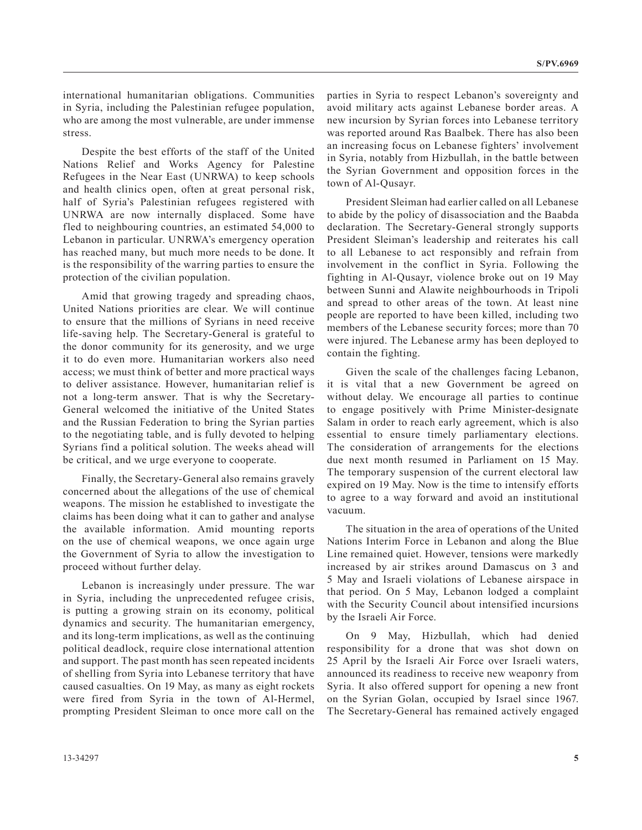international humanitarian obligations. Communities in Syria, including the Palestinian refugee population, who are among the most vulnerable, are under immense stress.

Despite the best efforts of the staff of the United Nations Relief and Works Agency for Palestine Refugees in the Near East (UNRWA) to keep schools and health clinics open, often at great personal risk, half of Syria's Palestinian refugees registered with UNRWA are now internally displaced. Some have fled to neighbouring countries, an estimated 54,000 to Lebanon in particular. UNRWA's emergency operation has reached many, but much more needs to be done. It is the responsibility of the warring parties to ensure the protection of the civilian population.

Amid that growing tragedy and spreading chaos, United Nations priorities are clear. We will continue to ensure that the millions of Syrians in need receive life-saving help. The Secretary-General is grateful to the donor community for its generosity, and we urge it to do even more. Humanitarian workers also need access; we must think of better and more practical ways to deliver assistance. However, humanitarian relief is not a long-term answer. That is why the Secretary-General welcomed the initiative of the United States and the Russian Federation to bring the Syrian parties to the negotiating table, and is fully devoted to helping Syrians find a political solution. The weeks ahead will be critical, and we urge everyone to cooperate.

Finally, the Secretary-General also remains gravely concerned about the allegations of the use of chemical weapons. The mission he established to investigate the claims has been doing what it can to gather and analyse the available information. Amid mounting reports on the use of chemical weapons, we once again urge the Government of Syria to allow the investigation to proceed without further delay.

Lebanon is increasingly under pressure. The war in Syria, including the unprecedented refugee crisis, is putting a growing strain on its economy, political dynamics and security. The humanitarian emergency, and its long-term implications, as well as the continuing political deadlock, require close international attention and support. The past month has seen repeated incidents of shelling from Syria into Lebanese territory that have caused casualties. On 19 May, as many as eight rockets were fired from Syria in the town of Al-Hermel, prompting President Sleiman to once more call on the parties in Syria to respect Lebanon's sovereignty and avoid military acts against Lebanese border areas. A new incursion by Syrian forces into Lebanese territory was reported around Ras Baalbek. There has also been an increasing focus on Lebanese fighters' involvement in Syria, notably from Hizbullah, in the battle between the Syrian Government and opposition forces in the town of Al-Qusayr.

President Sleiman had earlier called on all Lebanese to abide by the policy of disassociation and the Baabda declaration. The Secretary-General strongly supports President Sleiman's leadership and reiterates his call to all Lebanese to act responsibly and refrain from involvement in the conflict in Syria. Following the fighting in Al-Qusayr, violence broke out on 19 May between Sunni and Alawite neighbourhoods in Tripoli and spread to other areas of the town. At least nine people are reported to have been killed, including two members of the Lebanese security forces; more than 70 were injured. The Lebanese army has been deployed to contain the fighting.

Given the scale of the challenges facing Lebanon, it is vital that a new Government be agreed on without delay. We encourage all parties to continue to engage positively with Prime Minister-designate Salam in order to reach early agreement, which is also essential to ensure timely parliamentary elections. The consideration of arrangements for the elections due next month resumed in Parliament on 15 May. The temporary suspension of the current electoral law expired on 19 May. Now is the time to intensify efforts to agree to a way forward and avoid an institutional vacuum.

The situation in the area of operations of the United Nations Interim Force in Lebanon and along the Blue Line remained quiet. However, tensions were markedly increased by air strikes around Damascus on 3 and 5 May and Israeli violations of Lebanese airspace in that period. On 5 May, Lebanon lodged a complaint with the Security Council about intensified incursions by the Israeli Air Force.

On 9 May, Hizbullah, which had denied responsibility for a drone that was shot down on 25 April by the Israeli Air Force over Israeli waters, announced its readiness to receive new weaponry from Syria. It also offered support for opening a new front on the Syrian Golan, occupied by Israel since 1967. The Secretary-General has remained actively engaged